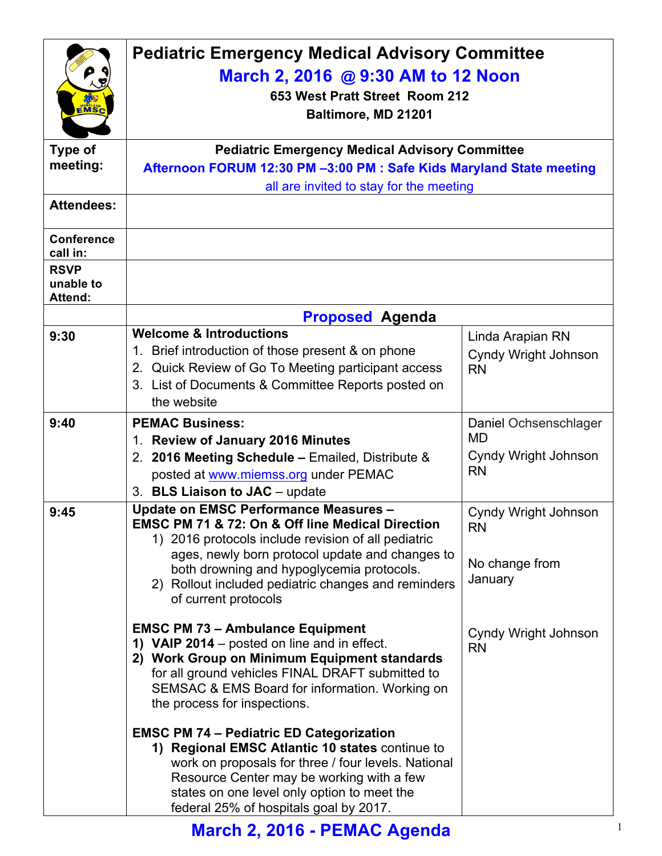| EMSC                                       | <b>Pediatric Emergency Medical Advisory Committee</b><br>March 2, 2016 @ 9:30 AM to 12 Noon<br>653 West Pratt Street Room 212<br>Baltimore, MD 21201                                                                                                                                                                                   |                                                                         |  |
|--------------------------------------------|----------------------------------------------------------------------------------------------------------------------------------------------------------------------------------------------------------------------------------------------------------------------------------------------------------------------------------------|-------------------------------------------------------------------------|--|
| Type of<br>meeting:                        | <b>Pediatric Emergency Medical Advisory Committee</b><br>Afternoon FORUM 12:30 PM -3:00 PM : Safe Kids Maryland State meeting<br>all are invited to stay for the meeting                                                                                                                                                               |                                                                         |  |
| <b>Attendees:</b>                          |                                                                                                                                                                                                                                                                                                                                        |                                                                         |  |
| <b>Conference</b><br>call in:              |                                                                                                                                                                                                                                                                                                                                        |                                                                         |  |
| <b>RSVP</b><br>unable to<br><b>Attend:</b> |                                                                                                                                                                                                                                                                                                                                        |                                                                         |  |
|                                            | <b>Proposed Agenda</b>                                                                                                                                                                                                                                                                                                                 |                                                                         |  |
| 9:30                                       | <b>Welcome &amp; Introductions</b><br>1. Brief introduction of those present & on phone<br>2. Quick Review of Go To Meeting participant access<br>3. List of Documents & Committee Reports posted on<br>the website                                                                                                                    | Linda Arapian RN<br><b>Cyndy Wright Johnson</b><br><b>RN</b>            |  |
| 9:40                                       | <b>PEMAC Business:</b><br>1. Review of January 2016 Minutes<br>2. 2016 Meeting Schedule - Emailed, Distribute &<br>posted at www.miemss.org under PEMAC<br>3. BLS Liaison to JAC - update                                                                                                                                              | Daniel Ochsenschlager<br><b>MD</b><br>Cyndy Wright Johnson<br><b>RN</b> |  |
| 9:45                                       | <b>Update on EMSC Performance Measures -</b><br>EMSC PM 71 & 72: On & Off line Medical Direction<br>1) 2016 protocols include revision of all pediatric<br>ages, newly born protocol update and changes to<br>both drowning and hypoglycemia protocols.<br>2) Rollout included pediatric changes and reminders<br>of current protocols | Cyndy Wright Johnson<br>RN<br>No change from<br>January                 |  |
|                                            | <b>EMSC PM 73 - Ambulance Equipment</b><br>1) VAIP 2014 – posted on line and in effect.<br>2) Work Group on Minimum Equipment standards<br>for all ground vehicles FINAL DRAFT submitted to<br>SEMSAC & EMS Board for information. Working on<br>the process for inspections.                                                          | Cyndy Wright Johnson<br><b>RN</b>                                       |  |
|                                            | <b>EMSC PM 74 - Pediatric ED Categorization</b><br>1) Regional EMSC Atlantic 10 states continue to<br>work on proposals for three / four levels. National<br>Resource Center may be working with a few<br>states on one level only option to meet the<br>federal 25% of hospitals goal by 2017.                                        |                                                                         |  |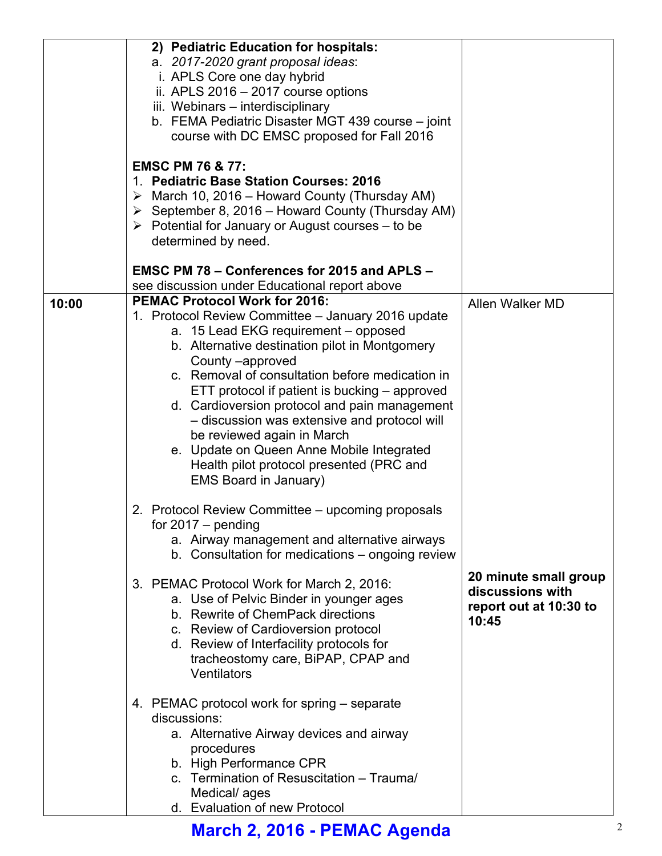|       | 2) Pediatric Education for hospitals:<br>a. 2017-2020 grant proposal ideas:<br>i. APLS Core one day hybrid<br>ii. APLS 2016 - 2017 course options<br>iii. Webinars - interdisciplinary<br>b. FEMA Pediatric Disaster MGT 439 course - joint<br>course with DC EMSC proposed for Fall 2016                                                                                                                                                                                                                                                                                                                      |                                                                              |
|-------|----------------------------------------------------------------------------------------------------------------------------------------------------------------------------------------------------------------------------------------------------------------------------------------------------------------------------------------------------------------------------------------------------------------------------------------------------------------------------------------------------------------------------------------------------------------------------------------------------------------|------------------------------------------------------------------------------|
|       | <b>EMSC PM 76 &amp; 77:</b><br><b>Pediatric Base Station Courses: 2016</b><br>$\mathbf{1}_{-}$<br>$\triangleright$ March 10, 2016 – Howard County (Thursday AM)<br>$\triangleright$ September 8, 2016 – Howard County (Thursday AM)<br>$\triangleright$ Potential for January or August courses – to be<br>determined by need.                                                                                                                                                                                                                                                                                 |                                                                              |
|       | <b>EMSC PM 78 - Conferences for 2015 and APLS -</b>                                                                                                                                                                                                                                                                                                                                                                                                                                                                                                                                                            |                                                                              |
| 10:00 | see discussion under Educational report above<br><b>PEMAC Protocol Work for 2016:</b><br>1. Protocol Review Committee - January 2016 update<br>a. 15 Lead EKG requirement - opposed<br>b. Alternative destination pilot in Montgomery<br>County -approved<br>c. Removal of consultation before medication in<br>ETT protocol if patient is bucking – approved<br>d. Cardioversion protocol and pain management<br>- discussion was extensive and protocol will<br>be reviewed again in March<br>e. Update on Queen Anne Mobile Integrated<br>Health pilot protocol presented (PRC and<br>EMS Board in January) | Allen Walker MD                                                              |
|       | 2. Protocol Review Committee – upcoming proposals<br>for $2017 -$ pending<br>a. Airway management and alternative airways<br>b. Consultation for medications – ongoing review                                                                                                                                                                                                                                                                                                                                                                                                                                  |                                                                              |
|       | 3. PEMAC Protocol Work for March 2, 2016:<br>a. Use of Pelvic Binder in younger ages<br>b. Rewrite of ChemPack directions<br>c. Review of Cardioversion protocol<br>d. Review of Interfacility protocols for<br>tracheostomy care, BiPAP, CPAP and<br>Ventilators                                                                                                                                                                                                                                                                                                                                              | 20 minute small group<br>discussions with<br>report out at 10:30 to<br>10:45 |
|       | 4. PEMAC protocol work for spring – separate<br>discussions:<br>a. Alternative Airway devices and airway<br>procedures<br>b. High Performance CPR<br>c. Termination of Resuscitation - Trauma/<br>Medical/ages<br>d. Evaluation of new Protocol                                                                                                                                                                                                                                                                                                                                                                |                                                                              |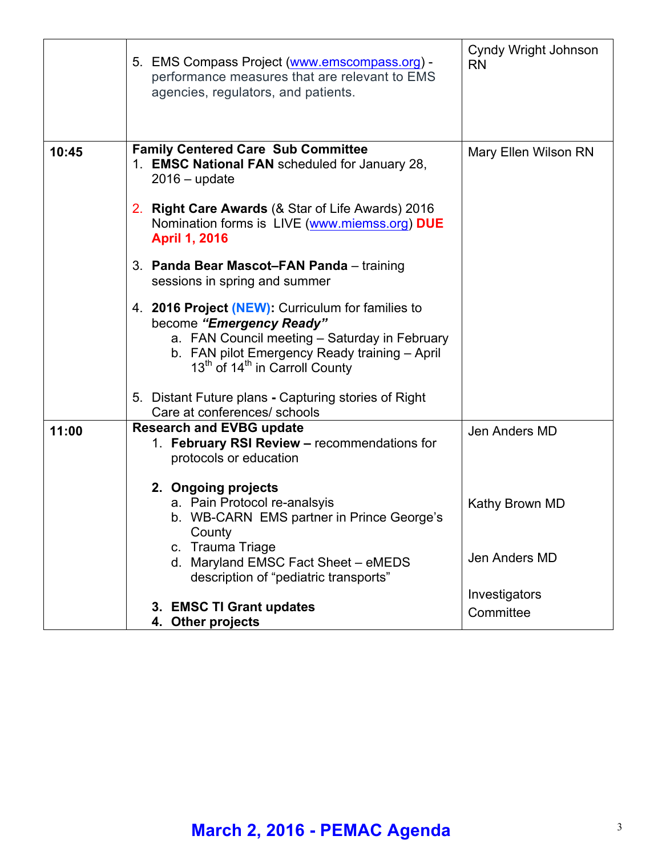|       | 5. EMS Compass Project (www.emscompass.org) -<br>performance measures that are relevant to EMS<br>agencies, regulators, and patients.                                                                                                                                                                                                                              | Cyndy Wright Johnson<br><b>RN</b>                                 |
|-------|--------------------------------------------------------------------------------------------------------------------------------------------------------------------------------------------------------------------------------------------------------------------------------------------------------------------------------------------------------------------|-------------------------------------------------------------------|
| 10:45 | <b>Family Centered Care Sub Committee</b><br>1. EMSC National FAN scheduled for January 28,<br>$2016 - update$<br>2. Right Care Awards (& Star of Life Awards) 2016<br>Nomination forms is LIVE (www.miemss.org) DUE<br><b>April 1, 2016</b><br>3. Panda Bear Mascot-FAN Panda - training                                                                          | Mary Ellen Wilson RN                                              |
|       | sessions in spring and summer<br>4. 2016 Project (NEW): Curriculum for families to<br>become "Emergency Ready"<br>a. FAN Council meeting - Saturday in February<br>b. FAN pilot Emergency Ready training - April<br>13 <sup>th</sup> of 14 <sup>th</sup> in Carroll County<br>5. Distant Future plans - Capturing stories of Right<br>Care at conferences/ schools |                                                                   |
| 11:00 | <b>Research and EVBG update</b><br>1. February RSI Review - recommendations for<br>protocols or education<br>2. Ongoing projects<br>a. Pain Protocol re-analsyis<br>b. WB-CARN EMS partner in Prince George's<br>County<br>c. Trauma Triage<br>d. Maryland EMSC Fact Sheet - eMEDS<br>description of "pediatric transports"                                        | Jen Anders MD<br>Kathy Brown MD<br>Jen Anders MD<br>Investigators |
|       | 3. EMSC TI Grant updates<br>4. Other projects                                                                                                                                                                                                                                                                                                                      | Committee                                                         |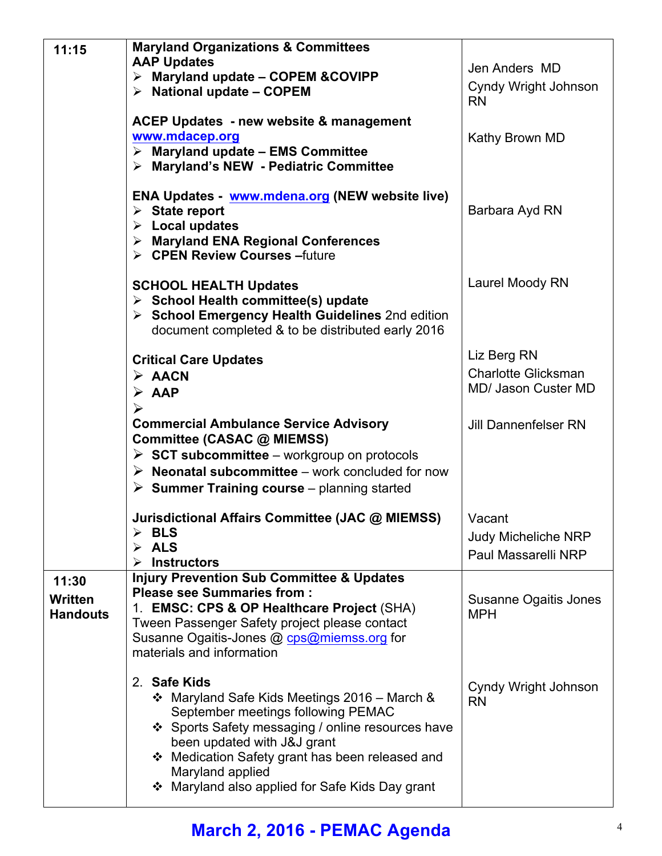| 11:15                                      | <b>Maryland Organizations &amp; Committees</b><br><b>AAP Updates</b><br>$\triangleright$ Maryland update - COPEM & COVIPP<br>$\triangleright$ National update – COPEM<br><b>ACEP Updates - new website &amp; management</b>                                                                                      | Jen Anders MD<br>Cyndy Wright Johnson<br><b>RN</b>               |
|--------------------------------------------|------------------------------------------------------------------------------------------------------------------------------------------------------------------------------------------------------------------------------------------------------------------------------------------------------------------|------------------------------------------------------------------|
|                                            | www.mdacep.org<br>$\triangleright$ Maryland update - EMS Committee<br>> Maryland's NEW - Pediatric Committee                                                                                                                                                                                                     | Kathy Brown MD                                                   |
|                                            | ENA Updates - www.mdena.org (NEW website live)<br>$\triangleright$ State report<br>$\triangleright$ Local updates<br>> Maryland ENA Regional Conferences<br>> CPEN Review Courses - future                                                                                                                       | Barbara Ayd RN                                                   |
|                                            | <b>SCHOOL HEALTH Updates</b><br>$\triangleright$ School Health committee(s) update<br>> School Emergency Health Guidelines 2nd edition<br>document completed & to be distributed early 2016                                                                                                                      | Laurel Moody RN                                                  |
|                                            | <b>Critical Care Updates</b><br>$\triangleright$ AACN<br>$\triangleright$ AAP<br>➤                                                                                                                                                                                                                               | Liz Berg RN<br><b>Charlotte Glicksman</b><br>MD/ Jason Custer MD |
|                                            | <b>Commercial Ambulance Service Advisory</b><br>Committee (CASAC @ MIEMSS)<br>$\triangleright$ SCT subcommittee – workgroup on protocols<br>$\triangleright$ Neonatal subcommittee – work concluded for now<br>$\triangleright$ Summer Training course – planning started                                        | <b>Jill Dannenfelser RN</b>                                      |
|                                            | Jurisdictional Affairs Committee (JAC @ MIEMSS)<br><b>BLS</b><br>$\blacktriangleright$<br><b>ALS</b><br>➤<br><b>Instructors</b>                                                                                                                                                                                  | Vacant<br><b>Judy Micheliche NRP</b><br>Paul Massarelli NRP      |
| 11:30<br><b>Written</b><br><b>Handouts</b> | <b>Injury Prevention Sub Committee &amp; Updates</b><br><b>Please see Summaries from:</b><br>1. EMSC: CPS & OP Healthcare Project (SHA)<br>Tween Passenger Safety project please contact<br>Susanne Ogaitis-Jones @ cps@miemss.org for<br>materials and information                                              | Susanne Ogaitis Jones<br><b>MPH</b>                              |
|                                            | 2. Safe Kids<br>❖ Maryland Safe Kids Meetings 2016 – March &<br>September meetings following PEMAC<br>❖ Sports Safety messaging / online resources have<br>been updated with J&J grant<br>❖ Medication Safety grant has been released and<br>Maryland applied<br>❖ Maryland also applied for Safe Kids Day grant | Cyndy Wright Johnson<br><b>RN</b>                                |